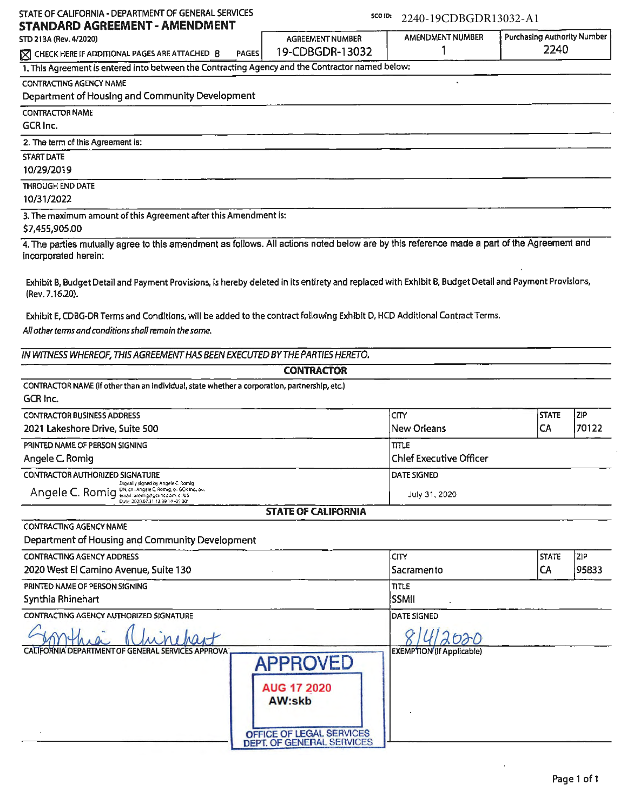| STANDARD AGREEMENT - AMENDMENT                                                                                                                                                                       |                            | 2240-19CDBGDR13032-A1            |                                     |       |
|------------------------------------------------------------------------------------------------------------------------------------------------------------------------------------------------------|----------------------------|----------------------------------|-------------------------------------|-------|
| STD 213A (Rev. 4/2020)                                                                                                                                                                               | AGREEMENT NUMBER           | <b>AMENDMENT NUMBER</b><br>1     | Purchasing Authority Number<br>2240 |       |
| <b>PAGES</b><br>A CHECK HERE IF ADDITIONAL PAGES ARE ATTACHED 8                                                                                                                                      | 19-CDBGDR-13032            |                                  |                                     |       |
| 1. This Agreement is entered into between the Contracting Agency and the Contractor named below:                                                                                                     |                            |                                  |                                     |       |
| <b>CONTRACTING AGENCY NAME</b><br>Department of Housing and Community Development                                                                                                                    |                            |                                  |                                     |       |
|                                                                                                                                                                                                      |                            |                                  |                                     |       |
| <b>CONTRACTOR NAME</b><br>GCR Inc.                                                                                                                                                                   |                            |                                  |                                     |       |
|                                                                                                                                                                                                      |                            |                                  |                                     |       |
| 2. The term of this Agreement is:<br><b>START DATE</b>                                                                                                                                               |                            |                                  |                                     |       |
| 10/29/2019                                                                                                                                                                                           |                            |                                  |                                     |       |
| <b>THROUGH END DATE</b>                                                                                                                                                                              |                            |                                  |                                     |       |
| 10/31/2022                                                                                                                                                                                           |                            |                                  |                                     |       |
| 3. The maximum amount of this Agreement after this Amendment is:                                                                                                                                     |                            |                                  |                                     |       |
| \$7,455,905.00                                                                                                                                                                                       |                            |                                  |                                     |       |
| 4. The parties mutually agree to this amendment as follows. All actions noted below are by this reference made a part of the Agreement and                                                           |                            |                                  |                                     |       |
| incorporated herein:                                                                                                                                                                                 |                            |                                  |                                     |       |
|                                                                                                                                                                                                      |                            |                                  |                                     |       |
| Exhibit B, Budget Detail and Payment Provisions, is hereby deleted in its entirety and replaced with Exhibit B, Budget Detail and Payment Provisions,                                                |                            |                                  |                                     |       |
| (Rev. 7.16.20).                                                                                                                                                                                      |                            |                                  |                                     |       |
| Exhibit E, CDBG-DR Terms and Conditions, will be added to the contract following Exhibit D, HCD Additional Contract Terms.                                                                           |                            |                                  |                                     |       |
| All other terms and conditions shall remain the same.                                                                                                                                                |                            |                                  |                                     |       |
|                                                                                                                                                                                                      |                            |                                  |                                     |       |
| IN WITNESS WHEREOF, THIS AGREEMENT HAS BEEN EXECUTED BY THE PARTIES HERETO.                                                                                                                          |                            |                                  |                                     |       |
|                                                                                                                                                                                                      |                            |                                  |                                     |       |
|                                                                                                                                                                                                      | <b>CONTRACTOR</b>          |                                  |                                     |       |
|                                                                                                                                                                                                      |                            |                                  |                                     |       |
|                                                                                                                                                                                                      |                            |                                  |                                     |       |
|                                                                                                                                                                                                      |                            | <b>CITY</b>                      | <b>STATE</b>                        | ZIP   |
| 2021 Lakeshore Drive, Suite 500                                                                                                                                                                      |                            | <b>New Orleans</b>               | CA                                  | 70122 |
|                                                                                                                                                                                                      |                            | ltttle                           |                                     |       |
| CONTRACTOR NAME (If other than an individual, state whether a corporation, partnership, etc.)<br>GCR Inc.<br><b>CONTRACTOR BUSINESS ADDRESS</b><br>PRINTED NAME OF PERSON SIGNING<br>Angele C. Romiq |                            | Chief Executive Officer          |                                     |       |
| Digitally signed by Angele C. Romig                                                                                                                                                                  |                            | <b>DATE SIGNED</b>               |                                     |       |
| Angele C. Romig Dhi cri-Angele C. Romig. or GCR Inc., ou.<br>Date: 2020.07.31 13:39:14 -0500                                                                                                         |                            | July 31, 2020                    |                                     |       |
| <b>CONTRACTOR AUTHORIZED SIGNATURE</b>                                                                                                                                                               | <b>STATE OF CALIFORNIA</b> |                                  |                                     |       |
| <b>CONTRACTING AGENCY NAME</b>                                                                                                                                                                       |                            |                                  |                                     |       |
| Department of Housing and Community Development                                                                                                                                                      |                            |                                  |                                     |       |
|                                                                                                                                                                                                      |                            | CITY.                            | <b>STATE</b>                        | ZIP   |
| <b>CONTRACTING AGENCY ADDRESS</b><br>2020 West El Camino Avenue, Suite 130                                                                                                                           |                            | Sacramento                       | CA                                  | 95833 |
|                                                                                                                                                                                                      |                            | <b>TITLE</b>                     |                                     |       |
| PRINTED NAME OF PERSON SIGNING<br>Synthia Rhinehart                                                                                                                                                  |                            | SSMII                            |                                     |       |
| CONTRACTING AGENCY AUTHORIZED SIGNATURE                                                                                                                                                              |                            | <b>DATE SIGNED</b>               |                                     |       |
|                                                                                                                                                                                                      |                            |                                  |                                     |       |
| CALIFORNIA DEPARTMENT OF GENERAL SERVICES APPROVA                                                                                                                                                    |                            |                                  |                                     |       |
|                                                                                                                                                                                                      |                            | <b>EXEMPTION</b> (If Applicable) |                                     |       |
|                                                                                                                                                                                                      | <b>APPROVED</b>            |                                  |                                     |       |
|                                                                                                                                                                                                      | <b>AUG 17 2020</b>         |                                  |                                     |       |
|                                                                                                                                                                                                      | AW:skb                     |                                  |                                     |       |
|                                                                                                                                                                                                      |                            |                                  |                                     |       |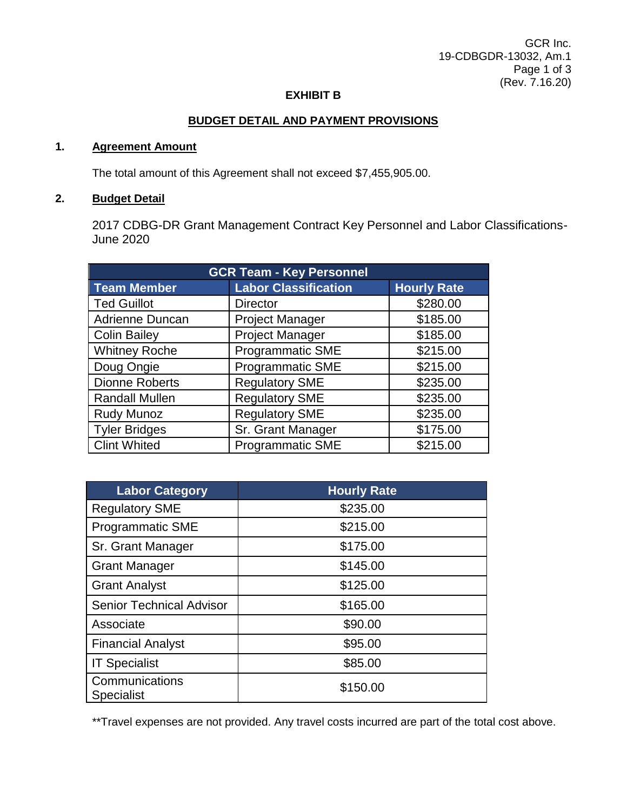### **EXHIBIT B**

### **BUDGET DETAIL AND PAYMENT PROVISIONS**

### **1. Agreement Amount**

The total amount of this Agreement shall not exceed \$7,455,905.00.

### **2. Budget Detail**

2017 CDBG-DR Grant Management Contract Key Personnel and Labor Classifications-June 2020

| <b>GCR Team - Key Personnel</b> |                             |                    |  |
|---------------------------------|-----------------------------|--------------------|--|
| <b>Team Member</b>              | <b>Labor Classification</b> | <b>Hourly Rate</b> |  |
| <b>Ted Guillot</b>              | <b>Director</b>             | \$280.00           |  |
| Adrienne Duncan                 | <b>Project Manager</b>      | \$185.00           |  |
| <b>Colin Bailey</b>             | <b>Project Manager</b>      | \$185.00           |  |
| <b>Whitney Roche</b>            | <b>Programmatic SME</b>     | \$215.00           |  |
| Doug Ongie                      | <b>Programmatic SME</b>     | \$215.00           |  |
| <b>Dionne Roberts</b>           | <b>Regulatory SME</b>       | \$235.00           |  |
| <b>Randall Mullen</b>           | <b>Regulatory SME</b>       | \$235.00           |  |
| <b>Rudy Munoz</b>               | <b>Regulatory SME</b>       | \$235.00           |  |
| <b>Tyler Bridges</b>            | Sr. Grant Manager           | \$175.00           |  |
| <b>Clint Whited</b>             | <b>Programmatic SME</b>     | \$215.00           |  |

| <b>Labor Category</b>               | <b>Hourly Rate</b> |
|-------------------------------------|--------------------|
| <b>Regulatory SME</b>               | \$235.00           |
| <b>Programmatic SME</b>             | \$215.00           |
| Sr. Grant Manager                   | \$175.00           |
| <b>Grant Manager</b>                | \$145.00           |
| <b>Grant Analyst</b>                | \$125.00           |
| <b>Senior Technical Advisor</b>     | \$165.00           |
| Associate                           | \$90.00            |
| <b>Financial Analyst</b>            | \$95.00            |
| <b>IT Specialist</b>                | \$85.00            |
| Communications<br><b>Specialist</b> | \$150.00           |

\*\*Travel expenses are not provided. Any travel costs incurred are part of the total cost above.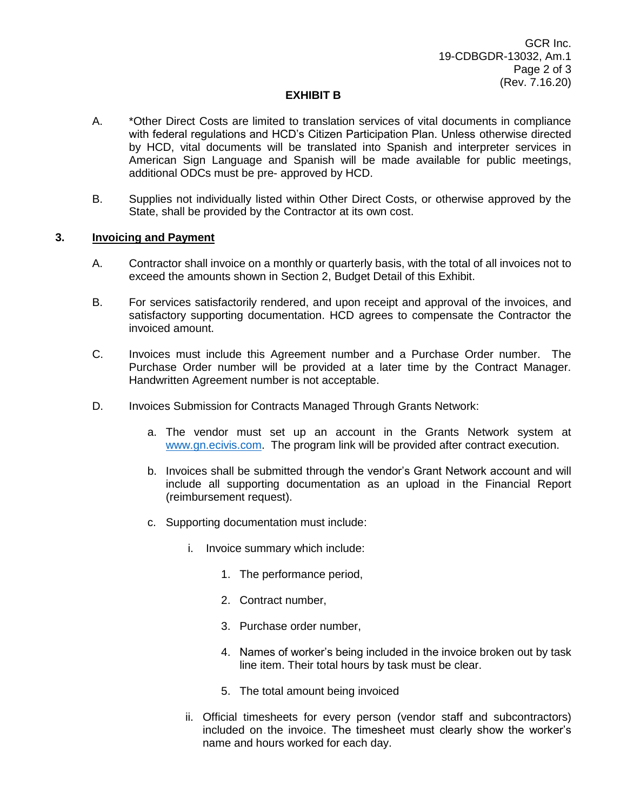### **EXHIBIT B**

- A. \*Other Direct Costs are limited to translation services of vital documents in compliance with federal regulations and HCD's Citizen Participation Plan. Unless otherwise directed by HCD, vital documents will be translated into Spanish and interpreter services in American Sign Language and Spanish will be made available for public meetings, additional ODCs must be pre- approved by HCD.
- B. Supplies not individually listed within Other Direct Costs, or otherwise approved by the State, shall be provided by the Contractor at its own cost.

### **3. Invoicing and Payment**

- A. Contractor shall invoice on a monthly or quarterly basis, with the total of all invoices not to exceed the amounts shown in Section 2, Budget Detail of this Exhibit.
- B. For services satisfactorily rendered, and upon receipt and approval of the invoices, and satisfactory supporting documentation. HCD agrees to compensate the Contractor the invoiced amount.
- C. Invoices must include this Agreement number and a Purchase Order number. The Purchase Order number will be provided at a later time by the Contract Manager. Handwritten Agreement number is not acceptable.
- D. Invoices Submission for Contracts Managed Through Grants Network:
	- a. The vendor must set up an account in the Grants Network system at [www.gn.ecivis.com.](http://www.gn.ecivis.com/) The program link will be provided after contract execution.
	- b. Invoices shall be submitted through the vendor's Grant Network account and will include all supporting documentation as an upload in the Financial Report (reimbursement request).
	- c. Supporting documentation must include:
		- i. Invoice summary which include:
			- 1. The performance period,
			- 2. Contract number,
			- 3. Purchase order number,
			- 4. Names of worker's being included in the invoice broken out by task line item. Their total hours by task must be clear.
			- 5. The total amount being invoiced
		- ii. Official timesheets for every person (vendor staff and subcontractors) included on the invoice. The timesheet must clearly show the worker's name and hours worked for each day.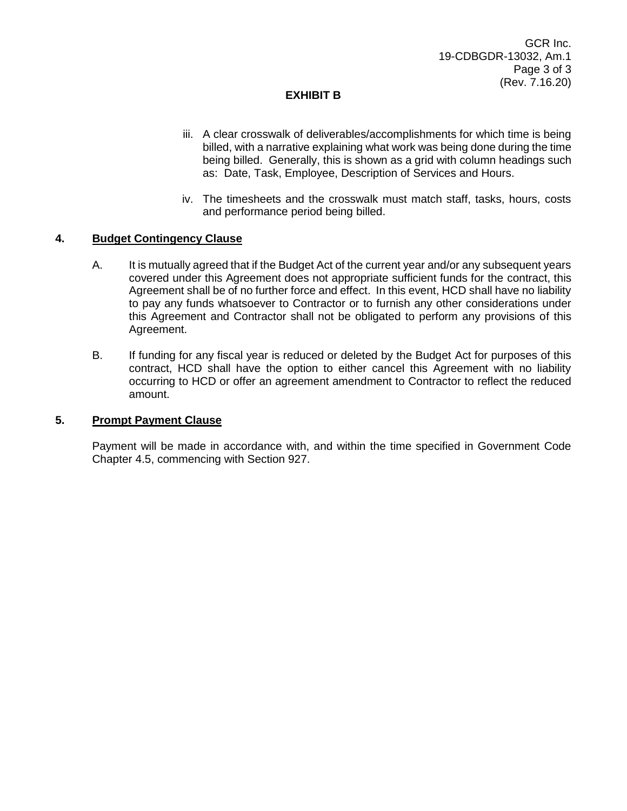## **EXHIBIT B**

- iii. A clear crosswalk of deliverables/accomplishments for which time is being billed, with a narrative explaining what work was being done during the time being billed. Generally, this is shown as a grid with column headings such as: Date, Task, Employee, Description of Services and Hours.
- iv. The timesheets and the crosswalk must match staff, tasks, hours, costs and performance period being billed.

### **4. Budget Contingency Clause**

- A. It is mutually agreed that if the Budget Act of the current year and/or any subsequent years covered under this Agreement does not appropriate sufficient funds for the contract, this Agreement shall be of no further force and effect. In this event, HCD shall have no liability to pay any funds whatsoever to Contractor or to furnish any other considerations under this Agreement and Contractor shall not be obligated to perform any provisions of this Agreement.
- B. If funding for any fiscal year is reduced or deleted by the Budget Act for purposes of this contract, HCD shall have the option to either cancel this Agreement with no liability occurring to HCD or offer an agreement amendment to Contractor to reflect the reduced amount.

#### **5. Prompt Payment Clause**

Payment will be made in accordance with, and within the time specified in Government Code Chapter 4.5, commencing with Section 927.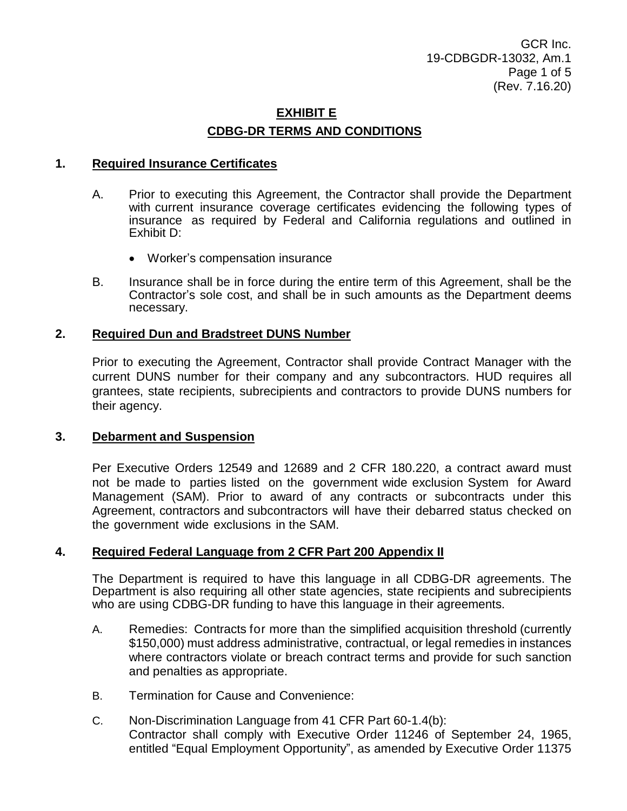# **EXHIBIT E CDBG-DR TERMS AND CONDITIONS**

## **1. Required Insurance Certificates**

- A. Prior to executing this Agreement, the Contractor shall provide the Department with current insurance coverage certificates evidencing the following types of insurance as required by Federal and California regulations and outlined in Exhibit D:
	- Worker's compensation insurance
- B. Insurance shall be in force during the entire term of this Agreement, shall be the Contractor's sole cost, and shall be in such amounts as the Department deems necessary.

## **2. Required Dun and Bradstreet DUNS Number**

Prior to executing the Agreement, Contractor shall provide Contract Manager with the current DUNS number for their company and any subcontractors. HUD requires all grantees, state recipients, subrecipients and contractors to provide DUNS numbers for their agency.

## **3. Debarment and Suspension**

Per Executive Orders 12549 and 12689 and 2 CFR 180.220, a contract award must not be made to parties listed on the government wide exclusion System for Award Management (SAM). Prior to award of any contracts or subcontracts under this Agreement, contractors and subcontractors will have their debarred status checked on the government wide exclusions in the SAM.

## **4. Required Federal Language from 2 CFR Part 200 Appendix II**

The Department is required to have this language in all CDBG-DR agreements. The Department is also requiring all other state agencies, state recipients and subrecipients who are using CDBG-DR funding to have this language in their agreements.

- A. Remedies: Contracts for more than the simplified acquisition threshold (currently \$150,000) must address administrative, contractual, or legal remedies in instances where contractors violate or breach contract terms and provide for such sanction and penalties as appropriate.
- B. Termination for Cause and Convenience:
- C. Non-Discrimination Language from 41 CFR Part 60-1.4(b): Contractor shall comply with Executive Order 11246 of September 24, 1965, entitled "Equal Employment Opportunity", as amended by Executive Order 11375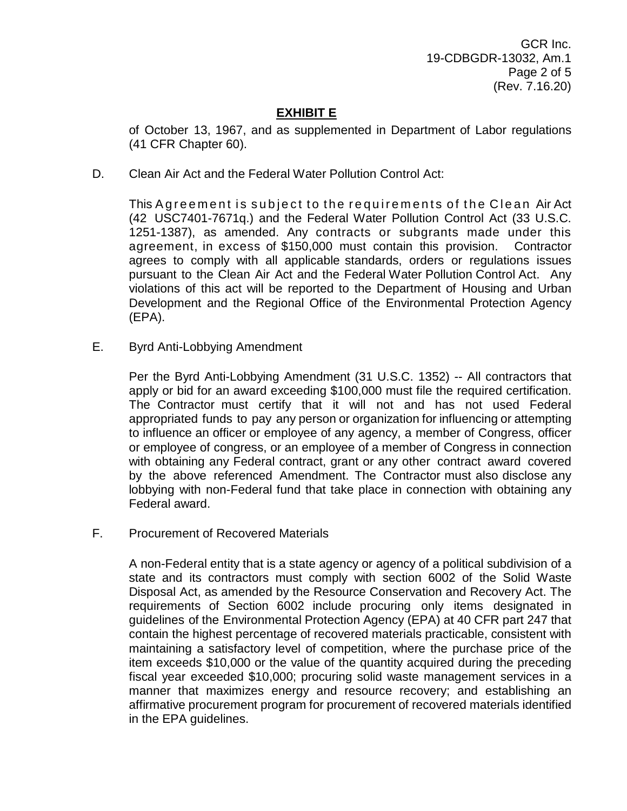GCR Inc. 19-CDBGDR-13032, Am.1 Page 2 of 5 (Rev. 7.16.20)

## **EXHIBIT E**

of October 13, 1967, and as supplemented in Department of Labor regulations (41 CFR Chapter 60).

D. Clean Air Act and the Federal Water Pollution Control Act:

This A greement is subject to the requirements of the Clean Air Act (42 USC7401-7671q.) and the Federal Water Pollution Control Act (33 U.S.C. 1251-1387), as amended. Any contracts or subgrants made under this agreement, in excess of \$150,000 must contain this provision. Contractor agrees to comply with all applicable standards, orders or regulations issues pursuant to the Clean Air Act and the Federal Water Pollution Control Act. Any violations of this act will be reported to the Department of Housing and Urban Development and the Regional Office of the Environmental Protection Agency (EPA).

E. Byrd Anti-Lobbying Amendment

Per the Byrd Anti-Lobbying Amendment (31 U.S.C. 1352) -- All contractors that apply or bid for an award exceeding \$100,000 must file the required certification. The Contractor must certify that it will not and has not used Federal appropriated funds to pay any person or organization for influencing or attempting to influence an officer or employee of any agency, a member of Congress, officer or employee of congress, or an employee of a member of Congress in connection with obtaining any Federal contract, grant or any other contract award covered by the above referenced Amendment. The Contractor must also disclose any lobbying with non-Federal fund that take place in connection with obtaining any Federal award.

F. Procurement of Recovered Materials

A non-Federal entity that is a state agency or agency of a political subdivision of a state and its contractors must comply with section 6002 of the Solid Waste Disposal Act, as amended by the Resource Conservation and Recovery Act. The requirements of Section 6002 include procuring only items designated in guidelines of the Environmental Protection Agency (EPA) at 40 CFR part 247 that contain the highest percentage of recovered materials practicable, consistent with maintaining a satisfactory level of competition, where the purchase price of the item exceeds \$10,000 or the value of the quantity acquired during the preceding fiscal year exceeded \$10,000; procuring solid waste management services in a manner that maximizes energy and resource recovery; and establishing an affirmative procurement program for procurement of recovered materials identified in the EPA guidelines.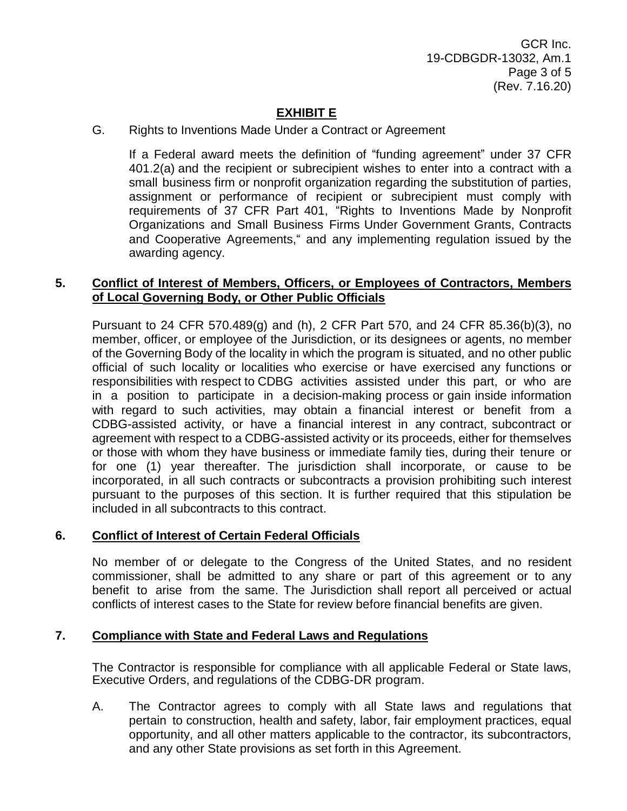# **EXHIBIT E**

## G. Rights to Inventions Made Under a Contract or Agreement

If a Federal award meets the definition of "funding agreement" under 37 CFR 401.2(a) and the recipient or subrecipient wishes to enter into a contract with a small business firm or nonprofit organization regarding the substitution of parties, assignment or performance of recipient or subrecipient must comply with requirements of 37 CFR Part 401, "Rights to Inventions Made by Nonprofit Organizations and Small Business Firms Under Government Grants, Contracts and Cooperative Agreements," and any implementing regulation issued by the awarding agency.

## **5. Conflict of Interest of Members, Officers, or Employees of Contractors, Members of Local Governing Body, or Other Public Officials**

Pursuant to 24 CFR 570.489(g) and (h), 2 CFR Part 570, and 24 CFR 85.36(b)(3), no member, officer, or employee of the Jurisdiction, or its designees or agents, no member of the Governing Body of the locality in which the program is situated, and no other public official of such locality or localities who exercise or have exercised any functions or responsibilities with respect to CDBG activities assisted under this part, or who are in a position to participate in a decision-making process or gain inside information with regard to such activities, may obtain a financial interest or benefit from a CDBG-assisted activity, or have a financial interest in any contract, subcontract or agreement with respect to a CDBG-assisted activity or its proceeds, either for themselves or those with whom they have business or immediate family ties, during their tenure or for one (1) year thereafter. The jurisdiction shall incorporate, or cause to be incorporated, in all such contracts or subcontracts a provision prohibiting such interest pursuant to the purposes of this section. It is further required that this stipulation be included in all subcontracts to this contract.

## **6. Conflict of Interest of Certain Federal Officials**

No member of or delegate to the Congress of the United States, and no resident commissioner, shall be admitted to any share or part of this agreement or to any benefit to arise from the same. The Jurisdiction shall report all perceived or actual conflicts of interest cases to the State for review before financial benefits are given.

## **7. Compliance with State and Federal Laws and Regulations**

The Contractor is responsible for compliance with all applicable Federal or State laws, Executive Orders, and regulations of the CDBG-DR program.

A. The Contractor agrees to comply with all State laws and regulations that pertain to construction, health and safety, labor, fair employment practices, equal opportunity, and all other matters applicable to the contractor, its subcontractors, and any other State provisions as set forth in this Agreement.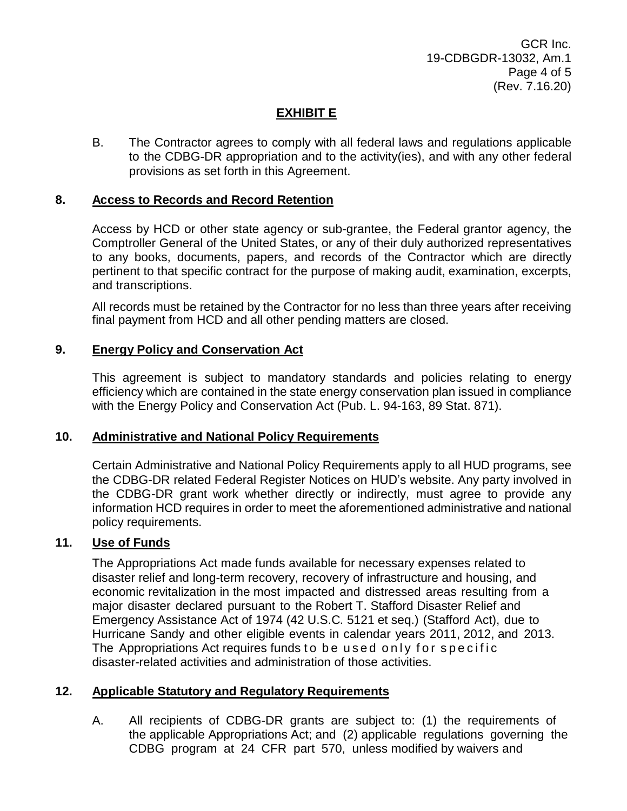GCR Inc. 19-CDBGDR-13032, Am.1 Page 4 of 5 (Rev. 7.16.20)

## **EXHIBIT E**

B. The Contractor agrees to comply with all federal laws and regulations applicable to the CDBG-DR appropriation and to the activity(ies), and with any other federal provisions as set forth in this Agreement.

### **8. Access to Records and Record Retention**

Access by HCD or other state agency or sub-grantee, the Federal grantor agency, the Comptroller General of the United States, or any of their duly authorized representatives to any books, documents, papers, and records of the Contractor which are directly pertinent to that specific contract for the purpose of making audit, examination, excerpts, and transcriptions.

All records must be retained by the Contractor for no less than three years after receiving final payment from HCD and all other pending matters are closed.

### **9. Energy Policy and Conservation Act**

This agreement is subject to mandatory standards and policies relating to energy efficiency which are contained in the state energy conservation plan issued in compliance with the Energy Policy and Conservation Act (Pub. L. 94-163, 89 Stat. 871).

### **10. Administrative and National Policy Requirements**

Certain Administrative and National Policy Requirements apply to all HUD programs, see the CDBG-DR related Federal Register Notices on HUD's website. Any party involved in the CDBG-DR grant work whether directly or indirectly, must agree to provide any information HCD requires in order to meet the aforementioned administrative and national policy requirements.

## **11. Use of Funds**

The Appropriations Act made funds available for necessary expenses related to disaster relief and long-term recovery, recovery of infrastructure and housing, and economic revitalization in the most impacted and distressed areas resulting from a major disaster declared pursuant to the Robert T. Stafford Disaster Relief and Emergency Assistance Act of 1974 (42 U.S.C. 5121 et seq.) (Stafford Act), due to Hurricane Sandy and other eligible events in calendar years 2011, 2012, and 2013. The Appropriations Act requires funds to be used only for specific disaster-related activities and administration of those activities.

### **12. Applicable Statutory and Regulatory Requirements**

A. All recipients of CDBG-DR grants are subject to: (1) the requirements of the applicable Appropriations Act; and (2) applicable regulations governing the CDBG program at 24 CFR part 570, unless modified by waivers and